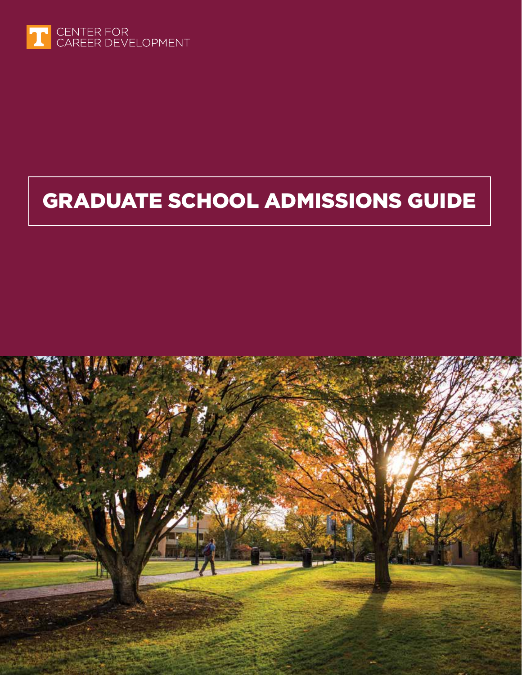

# GRADUATE SCHOOL ADMISSIONS GUIDE

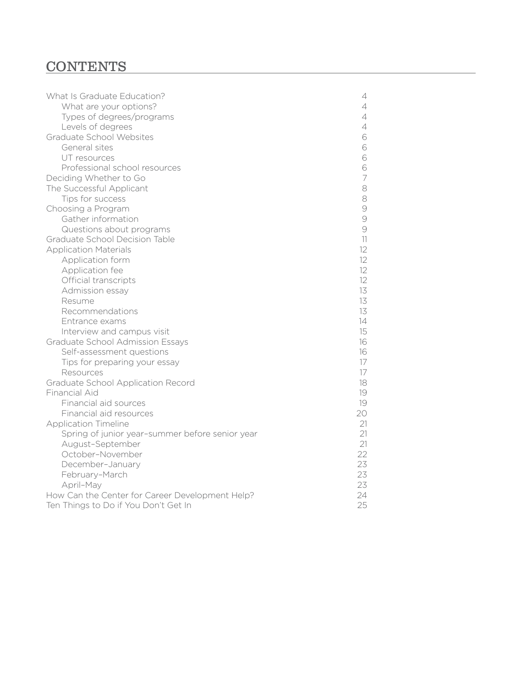# **CONTENTS**

| What Is Graduate Education?<br>4                      |  |
|-------------------------------------------------------|--|
| What are your options?<br>4                           |  |
| Types of degrees/programs<br>4                        |  |
| Levels of degrees<br>4                                |  |
| Graduate School Websites<br>6                         |  |
| General sites<br>6                                    |  |
| 6<br>UT resources                                     |  |
| 6<br>Professional school resources                    |  |
| 7<br>Deciding Whether to Go                           |  |
| The Successful Applicant<br>8                         |  |
| 8<br>Tips for success                                 |  |
| $\Theta$<br>Choosing a Program                        |  |
| $\Theta$<br>Gather information                        |  |
| 9<br>Questions about programs                         |  |
| Graduate School Decision Table<br>11                  |  |
| <b>Application Materials</b><br>$12^{1}$              |  |
| 12<br>Application form                                |  |
| 12<br>Application fee                                 |  |
| 12<br>Official transcripts                            |  |
| 13<br>Admission essay                                 |  |
| 13<br>Resume                                          |  |
| 13<br>Recommendations                                 |  |
| 14<br>Entrance exams                                  |  |
| 15<br>Interview and campus visit                      |  |
| <b>Graduate School Admission Essays</b><br>16         |  |
| Self-assessment questions<br>16                       |  |
| 17<br>Tips for preparing your essay                   |  |
| 17<br>Resources                                       |  |
| Graduate School Application Record<br>18              |  |
| <b>Financial Aid</b><br>19                            |  |
| Financial aid sources<br>19                           |  |
| Financial aid resources<br>20                         |  |
| 21<br><b>Application Timeline</b>                     |  |
| 21<br>Spring of junior year-summer before senior year |  |
| 21<br>August-September                                |  |
| 22<br>October-November                                |  |
| 23<br>December-January                                |  |
| 23<br>February-March                                  |  |
| 23<br>April-May                                       |  |
| 24<br>How Can the Center for Career Development Help? |  |
| 25<br>Ten Things to Do if You Don't Get In            |  |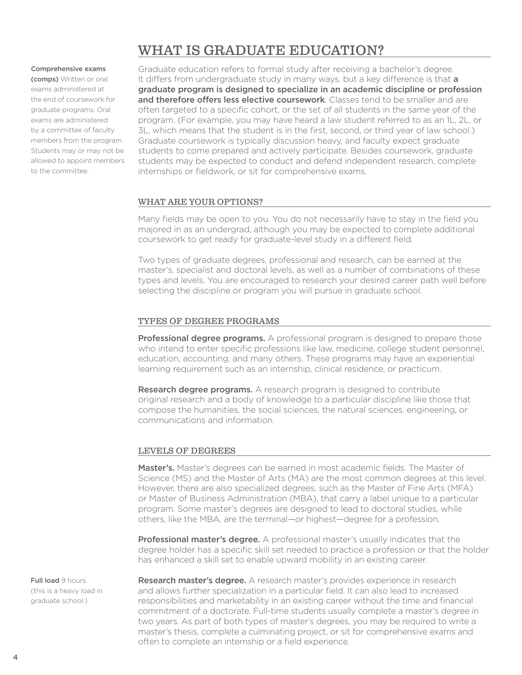## WHAT IS GRADUATE EDUCATION?

#### Comprehensive exams

(comps) Written or oral exams administered at the end of coursework for graduate programs. Oral exams are administered by a committee of faculty members from the program. Students may or may not be allowed to appoint members to the committee.

Graduate education refers to formal study after receiving a bachelor's degree. It differs from undergraduate study in many ways, but a key difference is that a graduate program is designed to specialize in an academic discipline or profession and therefore offers less elective coursework. Classes tend to be smaller and are often targeted to a specific cohort, or the set of all students in the same year of the program. (For example, you may have heard a law student referred to as an 1L, 2L, or 3L, which means that the student is in the first, second, or third year of law school.) Graduate coursework is typically discussion heavy, and faculty expect graduate students to come prepared and actively participate. Besides coursework, graduate students may be expected to conduct and defend independent research, complete internships or fieldwork, or sit for comprehensive exams.

#### WHAT ARE YOUR OPTIONS?

Many felds may be open to you. You do not necessarily have to stay in the feld you majored in as an undergrad, although you may be expected to complete additional coursework to get ready for graduate-level study in a different field.

Two types of graduate degrees, professional and research, can be earned at the master's, specialist and doctoral levels, as well as a number of combinations of these types and levels. You are encouraged to research your desired career path well before selecting the discipline or program you will pursue in graduate school.

#### TYPES OF DEGREE PROGRAMS

**Professional degree programs.** A professional program is designed to prepare those who intend to enter specific professions like law, medicine, college student personnel, education, accounting, and many others. These programs may have an experiential learning requirement such as an internship, clinical residence, or practicum.

Research degree programs. A research program is designed to contribute original research and a body of knowledge to a particular discipline like those that compose the humanities, the social sciences, the natural sciences, engineering, or communications and information.

#### LEVELS OF DEGREES

Master's. Master's degrees can be earned in most academic fields. The Master of Science (MS) and the Master of Arts (MA) are the most common degrees at this level. However, there are also specialized degrees, such as the Master of Fine Arts (MFA) or Master of Business Administration (MBA), that carry a label unique to a particular program. Some master's degrees are designed to lead to doctoral studies, while others, like the MBA, are the terminal—or highest—degree for a profession.

**Professional master's degree.** A professional master's usually indicates that the degree holder has a specifc skill set needed to practice a profession or that the holder has enhanced a skill set to enable upward mobility in an existing career.

Full load 9 hours (this is a heavy load in graduate school.)

Research master's degree. A research master's provides experience in research and allows further specialization in a particular field. It can also lead to increased responsibilities and marketability in an existing career without the time and fnancial commitment of a doctorate. Full-time students usually complete a master's degree in two years. As part of both types of master's degrees, you may be required to write a master's thesis, complete a culminating project, or sit for comprehensive exams and often to complete an internship or a field experience.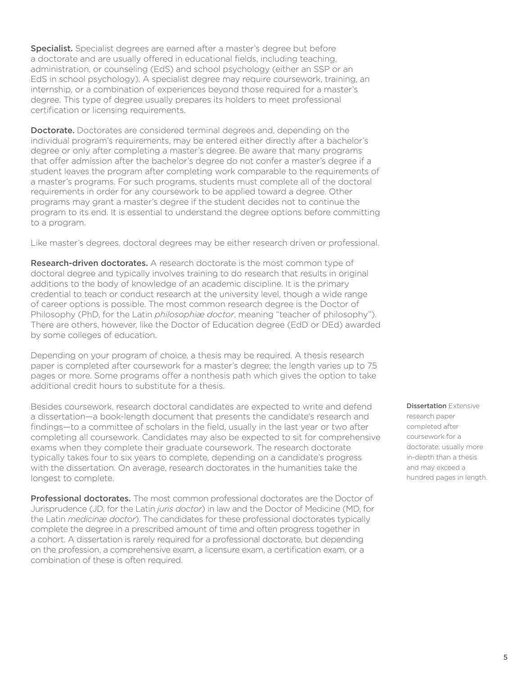Specialist. Specialist degrees are earned after a master's degree but before a doctorate and are usually ofered in educational felds, including teaching, administration, or counseling (EdS) and school psychology (either an SSP or an EdS in school psychology). A specialist degree may require coursework, training, an internship, or a combination of experiences beyond those required for a master's degree. This type of degree usually prepares its holders to meet professional certification or licensing requirements.

**Doctorate.** Doctorates are considered terminal degrees and, depending on the individual program's requirements, may be entered either directly after a bachelor's degree or only after completing a master's degree. Be aware that many programs that offer admission after the bachelor's degree do not confer a master's degree if a student leaves the program after completing work comparable to the requirements of a master's programs. For such programs, students must complete all of the doctoral requirements in order for any coursework to be applied toward a degree. Other programs may grant a master's degree if the student decides not to continue the program to its end. It is essential to understand the degree options before committing to a program.

Like master's degrees, doctoral degrees may be either research driven or professional.

Research-driven doctorates. A research doctorate is the most common type of doctoral degree and typically involves training to do research that results in original additions to the body of knowledge of an academic discipline. It is the primary credential to teach or conduct research at the university level, though a wide range of career options is possible. The most common research degree is the Doctor of Philosophy (PhD, for the Latin *philosophiæ doctor*, meaning "teacher of philosophy"). There are others, however, like the Doctor of Education degree (EdD or DEd) awarded by some colleges of education.

Depending on your program of choice, a thesis may be required. A thesis research paper is completed after coursework for a master's degree; the length varies up to 75 pages or more. Some programs offer a nonthesis path which gives the option to take additional credit hours to substitute for a thesis.

Besides coursework, research doctoral candidates are expected to write and defend a dissertation—a book-length document that presents the candidate's research and findings—to a committee of scholars in the field, usually in the last year or two after completing all coursework. Candidates may also be expected to sit for comprehensive exams when they complete their graduate coursework. The research doctorate typically takes four to six years to complete, depending on a candidate's progress with the dissertation. On average, research doctorates in the humanities take the longest to complete.

Professional doctorates. The most common professional doctorates are the Doctor of Jurisprudence (JD, for the Latin *juris doctor*) in law and the Doctor of Medicine (MD, for the Latin *medicinæ doctor*). The candidates for these professional doctorates typically complete the degree in a prescribed amount of time and often progress together in a cohort. A dissertation is rarely required for a professional doctorate, but depending on the profession, a comprehensive exam, a licensure exam, a certifcation exam, or a combination of these is often required.

#### Dissertation Extensive

research paper completed after coursework for a doctorate; usually more in-depth than a thesis and may exceed a hundred pages in length.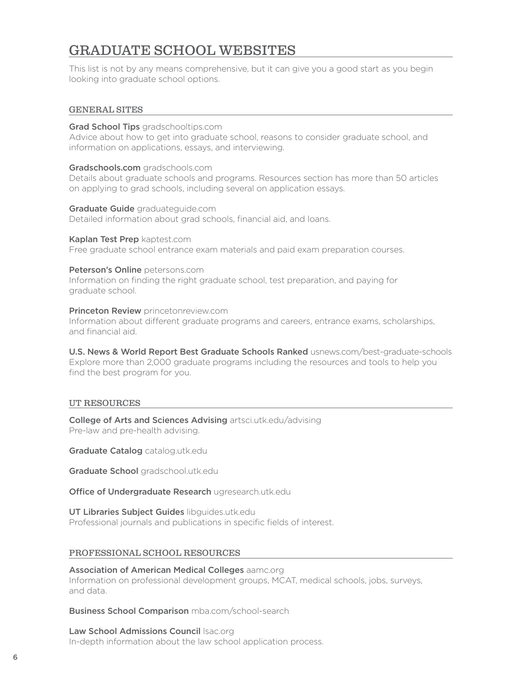## GRADUATE SCHOOL WEBSITES

This list is not by any means comprehensive, but it can give you a good start as you begin looking into graduate school options.

#### GENERAL SITES

Grad School Tips gradschooltips.com

Advice about how to get into graduate school, reasons to consider graduate school, and information on applications, essays, and interviewing.

#### [Gradschools.com](https://Gradschools.com) [gradschools.com](https://gradschools.com)

Details about graduate schools and programs. Resources section has more than 50 articles on applying to grad schools, including several on application essays.

Graduate Guide graduatequide.com Detailed information about grad schools, fnancial aid, and loans.

Kaplan Test Prep [kaptest.com](https://kaptest.com) Free graduate school entrance exam materials and paid exam preparation courses.

Peterson's Online [petersons.com](https://petersons.com) Information on fnding the right graduate school, test preparation, and paying for graduate school.

**Princeton Review** princetonreview.com Information about diferent graduate programs and careers, entrance exams, scholarships, and financial aid.

U.S. News & World Report Best Graduate Schools Ranked [usnews.com/best-graduate-schools](https://usnews.com/best-graduate-schools) Explore more than 2,000 graduate programs including the resources and tools to help you find the best program for you.

#### UT RESOURCES

College of Arts and Sciences Advising [artsci.utk.edu/advising](https://artsci.utk.edu/advising) Pre-law and pre-health advising.

Graduate Catalog [catalog.utk.edu](https://catalog.utk.edu)

Graduate School [gradschool.utk.edu](https://gradschool.utk.edu)

Office of Undergraduate Research [ugresearch.utk.edu](https://ugresearch.utk.edu)

UT Libraries Subject Guides [libguides.utk.edu](https://libguides.utk.edu) Professional journals and publications in specific fields of interest.

#### PROFESSIONAL SCHOOL RESOURCES

#### Association of American Medical Colleges [aamc.org](https://aamc.org)

Information on professional development groups, MCAT, medical schools, jobs, surveys, and data.

**Business School Comparison** [mba.com/school-search](https://mba.com/school-search)

#### Law School Admissions Council Isac.org

In-depth information about the law school application process.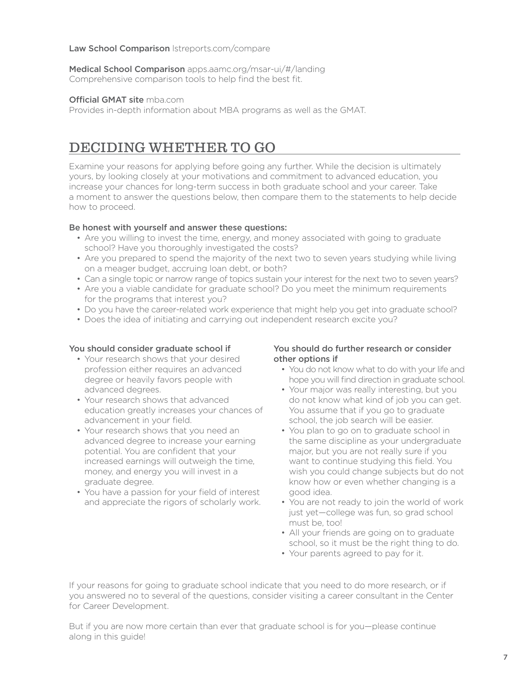#### Law School Comparison Istreports.com/compare

Medical School Comparison apps.aamc.org/msar-ui/#/landing Comprehensive comparison tools to help find the best fit.

#### Official GMAT site mba.com

Provides in-depth information about MBA programs as well as the GMAT.

### DECIDING WHETHER TO GO

Examine your reasons for applying before going any further. While the decision is ultimately yours, by looking closely at your motivations and commitment to advanced education, you increase your chances for long-term success in both graduate school and your career. Take a moment to answer the questions below, then compare them to the statements to help decide how to proceed.

#### Be honest with yourself and answer these questions:

- Are you willing to invest the time, energy, and money associated with going to graduate school? Have you thoroughly investigated the costs?
- Are you prepared to spend the majority of the next two to seven years studying while living on a meager budget, accruing loan debt, or both?
- Can a single topic or narrow range of topics sustain your interest for the next two to seven years?
- Are you a viable candidate for graduate school? Do you meet the minimum requirements for the programs that interest you?
- Do you have the career-related work experience that might help you get into graduate school?
- Does the idea of initiating and carrying out independent research excite you?

#### You should consider graduate school if

- Your research shows that your desired profession either requires an advanced degree or heavily favors people with advanced degrees.
- Your research shows that advanced education greatly increases your chances o f advancement in your field.
- Your research shows that you need an advanced degree to increase your earning potential. You are confident that your increased earnings will outweigh the time, money, and energy you will invest in a graduate degree.
- You have a passion for your field of interest and appreciate the rigors of scholarly work.

#### You should do further research or consider other options if

- You do not know what to do with your life and hope you will find direction in graduate school.
- Your major was really interesting, but you do not know what kind of job you can get. You assume that if you go to graduate school, the job search will be easier.
- You plan to go on to graduate school in the same discipline as your undergraduate major, but you are not really sure if you want to continue studying this feld. You wish you could change subjects but do not know how or even whether changing is a good idea.
- You are not ready to join the world of work just yet—college was fun, so grad school must be, too!
- All your friends are going on to graduate school, so it must be the right thing to do.
- Your parents agreed to pay for it.

 for Career Development. If your reasons for going to graduate school indicate that you need to do more research, or if you answered no to several of the questions, consider visiting a career consultant in the Center

But if you are now more certain than ever that graduate school is for you—please continue along in this guide!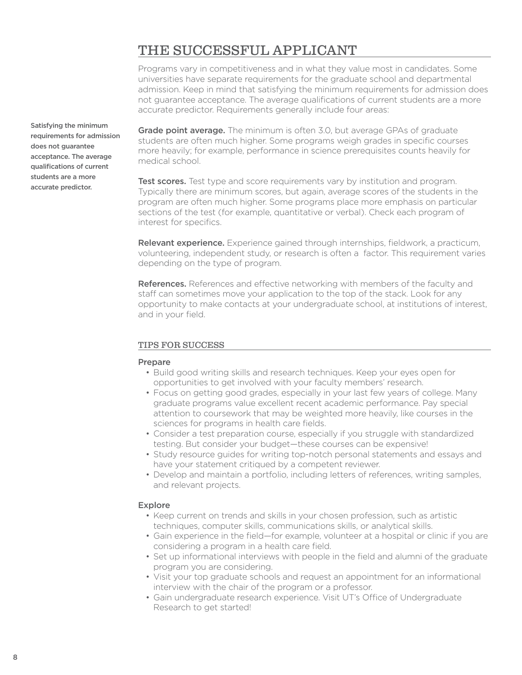## THE SUCCESSFUL APPLICANT

Programs vary in competitiveness and in what they value most in candidates. Some universities have separate requirements for the graduate school and departmental admission. Keep in mind that satisfying the minimum requirements for admission does not guarantee acceptance. The average qualifcations of current students are a more accurate predictor. Requirements generally include four areas:

Grade point average. The minimum is often 3.0, but average GPAs of graduate students are often much higher. Some programs weigh grades in specifc courses more heavily; for example, performance in science prerequisites counts heavily for medical school.

**Test scores.** Test type and score requirements vary by institution and program. Typically there are minimum scores, but again, average scores of the students in the program are often much higher. Some programs place more emphasis on particular sections of the test (for example, quantitative or verbal). Check each program of interest for specifics.

Relevant experience. Experience gained through internships, fieldwork, a practicum, volunteering, independent study, or research is often a factor. This requirement varies depending on the type of program.

**References.** References and effective networking with members of the faculty and staff can sometimes move your application to the top of the stack. Look for any opportunity to make contacts at your undergraduate school, at institutions of interest, and in your field.

#### TIPS FOR SUCCESS

#### Prepare

- Build good writing skills and research techniques. Keep your eyes open for opportunities to get involved with your faculty members' research.
- Focus on getting good grades, especially in your last few years of college. Many graduate programs value excellent recent academic performance. Pay special attention to coursework that may be weighted more heavily, like courses in the sciences for programs in health care fields.
- Consider a test preparation course, especially if you struggle with standardized testing. But consider your budget—these courses can be expensive!
- Study resource guides for writing top-notch personal statements and essays and have your statement critiqued by a competent reviewer.
- Develop and maintain a portfolio, including letters of references, writing samples, and relevant projects.

#### Explore

- Keep current on trends and skills in your chosen profession, such as artistic techniques, computer skills, communications skills, or analytical skills.
- Gain experience in the feld—for example, volunteer at a hospital or clinic if you are considering a program in a health care field.
- Set up informational interviews with people in the feld and alumni of the graduate program you are considering.
- Visit your top graduate schools and request an appointment for an informational interview with the chair of the program or a professor.
- Gain undergraduate research experience. Visit UT's Office of Undergraduate Research to get started!

Satisfying the minimum requirements for admission does not guarantee acceptance. The average qualifications of current students are a more accurate predictor.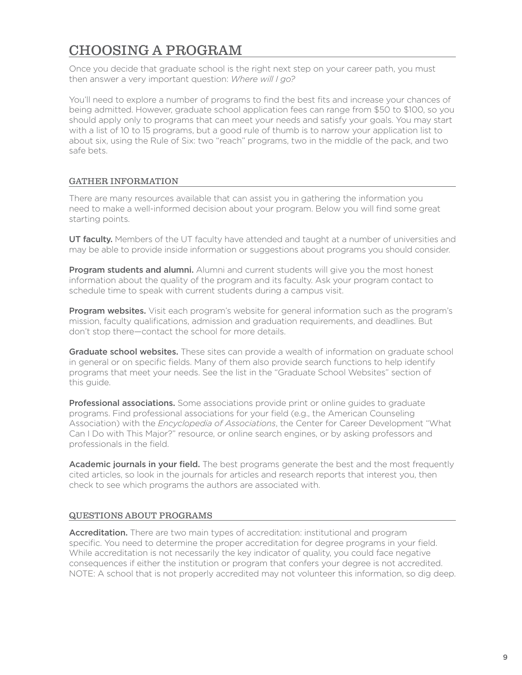# CHOOSING A PROGRAM

Once you decide that graduate school is the right next step on your career path, you must then answer a very important question: *Where will I go?* 

You'll need to explore a number of programs to find the best fits and increase your chances of being admitted. However, graduate school application fees can range from \$50 to \$100, so you should apply only to programs that can meet your needs and satisfy your goals. You may start with a list of 10 to 15 programs, but a good rule of thumb is to narrow your application list to about six, using the Rule of Six: two "reach" programs, two in the middle of the pack, and two safe bets.

#### GATHER INFORMATION

There are many resources available that can assist you in gathering the information you need to make a well-informed decision about your program. Below you will fnd some great starting points.

UT faculty. Members of the UT faculty have attended and taught at a number of universities and may be able to provide inside information or suggestions about programs you should consider.

**Program students and alumni.** Alumni and current students will give you the most honest information about the quality of the program and its faculty. Ask your program contact to schedule time to speak with current students during a campus visit.

Program websites. Visit each program's website for general information such as the program's mission, faculty qualifcations, admission and graduation requirements, and deadlines. But don't stop there—contact the school for more details.

Graduate school websites. These sites can provide a wealth of information on graduate school in general or on specific fields. Many of them also provide search functions to help identify programs that meet your needs. See the list in the "Graduate School Websites" section of this quide.

**Professional associations.** Some associations provide print or online quides to graduate programs. Find professional associations for your feld (e.g., the American Counseling Association) with the *Encyclopedia of Associations*, the Center for Career Development "What Can I Do with This Major?" resource, or online search engines, or by asking professors and professionals in the field.

Academic journals in your field. The best programs generate the best and the most frequently cited articles, so look in the journals for articles and research reports that interest you, then check to see which programs the authors are associated with.

#### QUESTIONS ABOUT PROGRAMS

**Accreditation.** There are two main types of accreditation: institutional and program specific. You need to determine the proper accreditation for degree programs in your field. While accreditation is not necessarily the key indicator of quality, you could face negative consequences if either the institution or program that confers your degree is not accredited. NOTE: A school that is not properly accredited may not volunteer this information, so dig deep.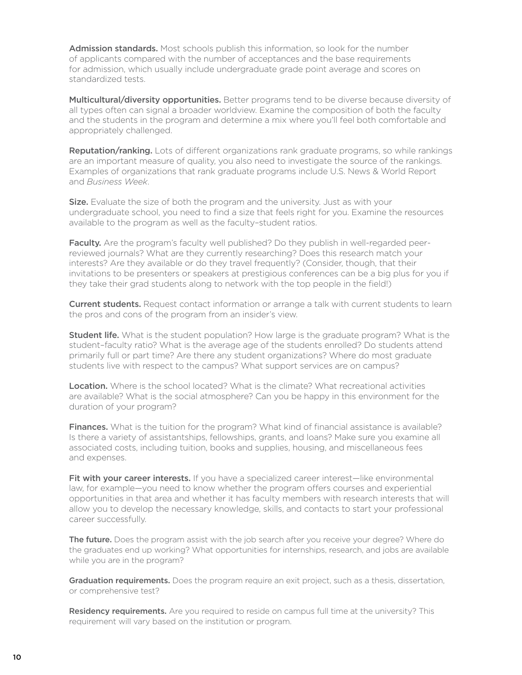Admission standards. Most schools publish this information, so look for the number of applicants compared with the number of acceptances and the base requirements for admission, which usually include undergraduate grade point average and scores on standardized tests.

Multicultural/diversity opportunities. Better programs tend to be diverse because diversity of all types often can signal a broader worldview. Examine the composition of both the faculty and the students in the program and determine a mix where you'll feel both comfortable and appropriately challenged.

Reputation/ranking. Lots of different organizations rank graduate programs, so while rankings are an important measure of quality, you also need to investigate the source of the rankings. Examples of organizations that rank graduate programs include U.S. News & World Report and *Business Week*.

Size. Evaluate the size of both the program and the university. Just as with your undergraduate school, you need to fnd a size that feels right for you. Examine the resources available to the program as well as the faculty–student ratios.

Faculty. Are the program's faculty well published? Do they publish in well-regarded peerreviewed journals? What are they currently researching? Does this research match your interests? Are they available or do they travel frequently? (Consider, though, that their invitations to be presenters or speakers at prestigious conferences can be a big plus for you if they take their grad students along to network with the top people in the feld!)

**Current students.** Request contact information or arrange a talk with current students to learn the pros and cons of the program from an insider's view.

**Student life.** What is the student population? How large is the graduate program? What is the student–faculty ratio? What is the average age of the students enrolled? Do students attend primarily full or part time? Are there any student organizations? Where do most graduate students live with respect to the campus? What support services are on campus?

Location. Where is the school located? What is the climate? What recreational activities are available? What is the social atmosphere? Can you be happy in this environment for the duration of your program?

Finances. What is the tuition for the program? What kind of financial assistance is available? Is there a variety of assistantships, fellowships, grants, and loans? Make sure you examine all associated costs, including tuition, books and supplies, housing, and miscellaneous fees and expenses.

Fit with your career interests. If you have a specialized career interest—like environmental law, for example—you need to know whether the program offers courses and experiential opportunities in that area and whether it has faculty members with research interests that will allow you to develop the necessary knowledge, skills, and contacts to start your professional career successfully.

**The future.** Does the program assist with the job search after you receive your degree? Where do the graduates end up working? What opportunities for internships, research, and jobs are available while you are in the program?

Graduation requirements. Does the program require an exit project, such as a thesis, dissertation, or comprehensive test?

Residency requirements. Are you required to reside on campus full time at the university? This requirement will vary based on the institution or program.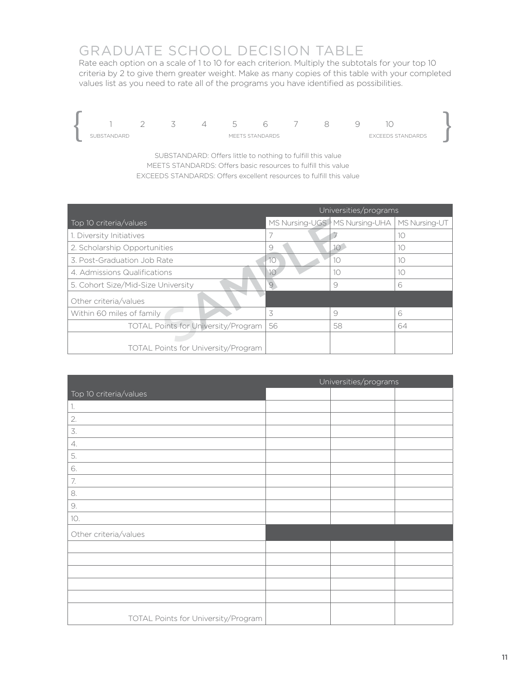# GRADUATE SCHOOL DECISION TABLE

Rate each option on a scale of 1 to 10 for each criterion. Multiply the subtotals for your top 10 criteria by 2 to give them greater weight. Make as many copies of this table with your completed values list as you need to rate all of the programs you have identifed as possibilities.



SUBSTANDARD: Offers little to nothing to fulfill this value MEETS STANDARDS: Offers basic resources to fulfill this value EXCEEDS STANDARDS: Offers excellent resources to fulfill this value

|                                            | Universities/programs |                                                 |    |
|--------------------------------------------|-----------------------|-------------------------------------------------|----|
| Top 10 criteria/values                     |                       | MS Nursing-UGS   MS Nursing-UHA   MS Nursing-UT |    |
| 1. Diversity Initiatives                   |                       |                                                 | 10 |
| 2. Scholarship Opportunities               | 9                     | 10 <sup>1</sup>                                 | 10 |
| 3. Post-Graduation Job Rate                | -10                   | 10                                              | 10 |
| 4. Admissions Qualifications               | 10                    | 10                                              | 10 |
| 5. Cohort Size/Mid-Size University         | 9                     | 9                                               | 6  |
| Other criteria/values                      |                       |                                                 |    |
| Within 60 miles of family                  | 3                     | 9                                               | 6  |
| <b>TOTAL Points for University/Program</b> | 56                    | 58                                              | 64 |
| <b>TOTAL Points for University/Program</b> |                       |                                                 |    |

|                                     | Universities/programs |  |  |
|-------------------------------------|-----------------------|--|--|
| Top 10 criteria/values              |                       |  |  |
| 1.                                  |                       |  |  |
| 2.                                  |                       |  |  |
| 3.                                  |                       |  |  |
| $\mathcal{4}.$                      |                       |  |  |
| 5.                                  |                       |  |  |
| 6.                                  |                       |  |  |
| 7.                                  |                       |  |  |
| 8.                                  |                       |  |  |
| 9.                                  |                       |  |  |
| 10.                                 |                       |  |  |
| Other criteria/values               |                       |  |  |
|                                     |                       |  |  |
|                                     |                       |  |  |
|                                     |                       |  |  |
|                                     |                       |  |  |
|                                     |                       |  |  |
| TOTAL Points for University/Program |                       |  |  |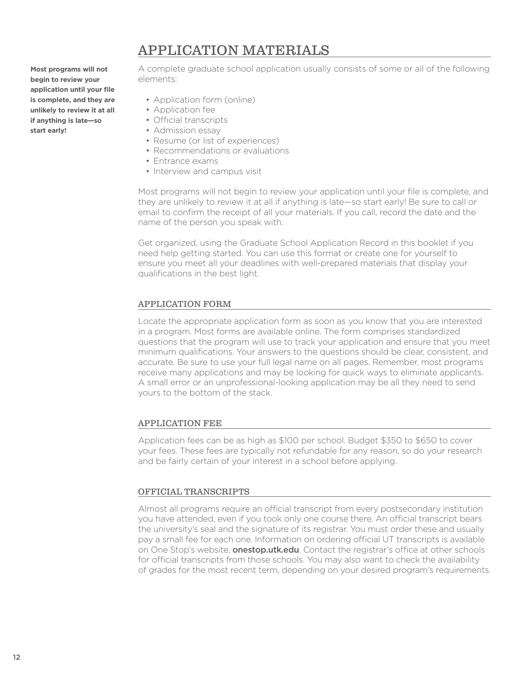### APPLICATION MATERIALS

**Most programs will not begin to review your application until your fle is complete, and they are unlikely to review it at all if anything is late—so start early!** 

A complete graduate school application usually consists of some or all of the following elements:

- Application form (online)
- Application fee
- Official transcripts
- Admission essay
- Resume (or list of experiences)
- Recommendations or evaluations
- Entrance exams
- Interview and campus visit

Most programs will not begin to review your application until your fle is complete, and they are unlikely to review it at all if anything is late—so start early! Be sure to call or email to confrm the receipt of all your materials. If you call, record the date and the name of the person you speak with.

Get organized, using the Graduate School Application Record in this booklet if you need help getting started. You can use this format or create one for yourself to ensure you meet all your deadlines with well-prepared materials that display your qualifications in the best light.

#### APPLICATION FORM

Locate the appropriate application form as soon as you know that you are interested in a program. Most forms are available online. The form comprises standardized questions that the program will use to track your application and ensure that you meet minimum qualifcations. Your answers to the questions should be clear, consistent, and accurate. Be sure to use your full legal name on all pages. Remember, most programs receive many applications and may be looking for quick ways to eliminate applicants. A small error or an unprofessional-looking application may be all they need to send yours to the bottom of the stack.

#### APPLICATION FEE

Application fees can be as high as \$100 per school. Budget \$350 to \$650 to cover your fees. These fees are typically not refundable for any reason, so do your research and be fairly certain of your interest in a school before applying.

#### OFFICIAL TRANSCRIPTS

Almost all programs require an official transcript from every postsecondary institution you have attended, even if you took only one course there. An official transcript bears the university's seal and the signature of its registrar. You must order these and usually pay a small fee for each one. Information on ordering official UT transcripts is available on One Stop's website, **[onestop.utk.edu](https://onestop.utk.edu)**. Contact the registrar's office at other schools for official transcripts from those schools. You may also want to check the availability of grades for the most recent term, depending on your desired program's requirements.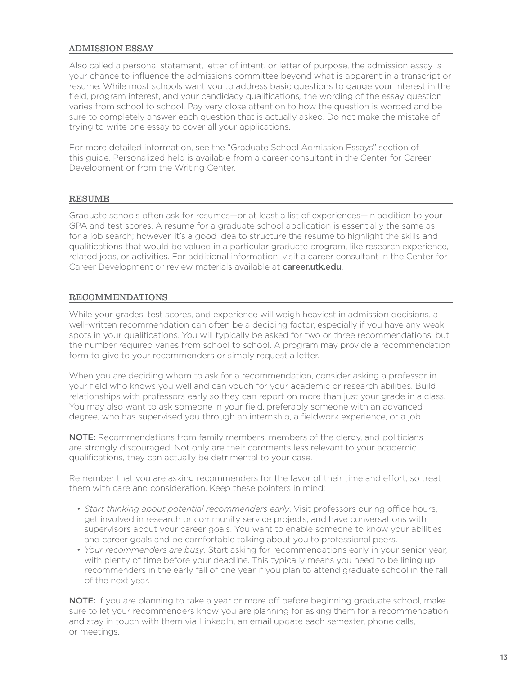#### ADMISSION ESSAY

Also called a personal statement, letter of intent, or letter of purpose, the admission essay is your chance to infuence the admissions committee beyond what is apparent in a transcript or resume. While most schools want you to address basic questions to gauge your interest in the feld, program interest, and your candidacy qualifcations*,* the wording of the essay question varies from school to school. Pay very close attention to how the question is worded and be sure to completely answer each question that is actually asked. Do not make the mistake of trying to write one essay to cover all your applications.

For more detailed information, see the "Graduate School Admission Essays" section of this guide. Personalized help is available from a career consultant in the Center for Career Development or from the Writing Center.

#### RESUME

Graduate schools often ask for resumes—or at least a list of experiences—in addition to your GPA and test scores. A resume for a graduate school application is essentially the same as for a job search; however, it's a good idea to structure the resume to highlight the skills and qualifcations that would be valued in a particular graduate program, like research experience, related jobs, or activities. For additional information, visit a career consultant in the Center for Career Development or review materials available at [career.utk.edu](https://career.utk.edu).

#### RECOMMENDATIONS

While your grades, test scores, and experience will weigh heaviest in admission decisions, a well-written recommendation can often be a deciding factor, especially if you have any weak spots in your qualifcations. You will typically be asked for two or three recommendations, but the number required varies from school to school. A program may provide a recommendation form to give to your recommenders or simply request a letter.

When you are deciding whom to ask for a recommendation, consider asking a professor in your feld who knows you well and can vouch for your academic or research abilities. Build relationships with professors early so they can report on more than just your grade in a class. You may also want to ask someone in your field, preferably someone with an advanced degree, who has supervised you through an internship, a feldwork experience, or a job.

NOTE: Recommendations from family members, members of the clergy, and politicians are strongly discouraged. Not only are their comments less relevant to your academic qualifications, they can actually be detrimental to your case.

Remember that you are asking recommenders for the favor of their time and effort, so treat them with care and consideration. Keep these pointers in mind:

- Start thinking about potential recommenders early. Visit professors during office hours, get involved in research or community service projects, and have conversations with supervisors about your career goals. You want to enable someone to know your abilities and career goals and be comfortable talking about you to professional peers.
- *Your recommenders are busy*. Start asking for recommendations early in your senior year, with plenty of time before your deadline. This typically means you need to be lining up recommenders in the early fall of one year if you plan to attend graduate school in the fall of the next year.

 or meetings. NOTE: If you are planning to take a year or more off before beginning graduate school, make sure to let your recommenders know you are planning for asking them for a recommendation and stay in touch with them via LinkedIn, an email update each semester, phone calls,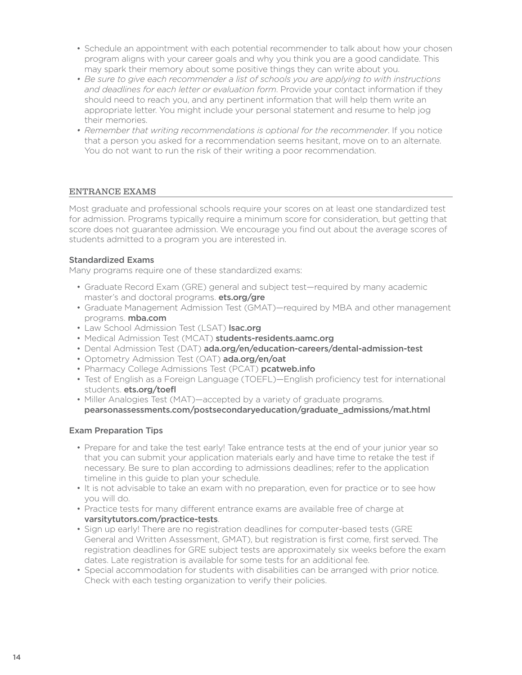- Schedule an appointment with each potential recommender to talk about how your chosen program aligns with your career goals and why you think you are a good candidate. This may spark their memory about some positive things they can write about you.
- *Be sure to give each recommender a list of schools you are applying to with instructions and deadlines for each letter or evaluation form*. Provide your contact information if they should need to reach you, and any pertinent information that will help them write an appropriate letter. You might include your personal statement and resume to help jog their memories.
- *Remember that writing recommendations is optional for the recommender*. If you notice that a person you asked for a recommendation seems hesitant, move on to an alternate. You do not want to run the risk of their writing a poor recommendation.

#### ENTRANCE EXAMS

Most graduate and professional schools require your scores on at least one standardized test for admission. Programs typically require a minimum score for consideration, but getting that score does not quarantee admission. We encourage you find out about the average scores of students admitted to a program you are interested in.

#### Standardized Exams

Many programs require one of these standardized exams:

- Graduate Record Exam (GRE) general and subject test—required by many academic master's and doctoral programs. ets.org/gre
- Graduate Management Admission Test (GMAT)—required by MBA and other management programs. mba.com
- Law School Admission Test (LSAT) Isac.org
- Medical Admission Test (MCAT) students-residents.aamc.org
- Dental Admission Test (DAT) [ada.org/en/education-careers/dental-admission-test](https://ada.org/en/education-careers/dental-admission-test)
- Optometry Admission Test (OAT) [ada.org/en/oat](https://ada.org/en/oat)
- Pharmacy College Admissions Test (PCAT) pcatweb.info
- Test of English as a Foreign Language (TOEFL)—English proficiency test for international students. [ets.org/toef](https://ets.org/toefl)l
- Miller Analogies Test (MAT)—accepted by a variety of graduate programs. [pearsonassessments.com/postsecondaryeducation/graduate\\_admissions/mat.html](https://pearsonassessments.com/postsecondaryeducation/graduate_admissions/mat.html)

#### Exam Preparation Tips

- Prepare for and take the test early! Take entrance tests at the end of your junior year so that you can submit your application materials early and have time to retake the test if necessary. Be sure to plan according to admissions deadlines; refer to the application timeline in this guide to plan your schedule.
- It is not advisable to take an exam with no preparation, even for practice or to see how you will do.
- Practice tests for many diferent entrance exams are available free of charge at [varsitytutors.com/practice-tests](https://varsitytutors.com/practice-tests).
- Sign up early! There are no registration deadlines for computer-based tests (GRE General and Written Assessment, GMAT), but registration is frst come, frst served. The registration deadlines for GRE subject tests are approximately six weeks before the exam dates. Late registration is available for some tests for an additional fee.
- Special accommodation for students with disabilities can be arranged with prior notice. Check with each testing organization to verify their policies.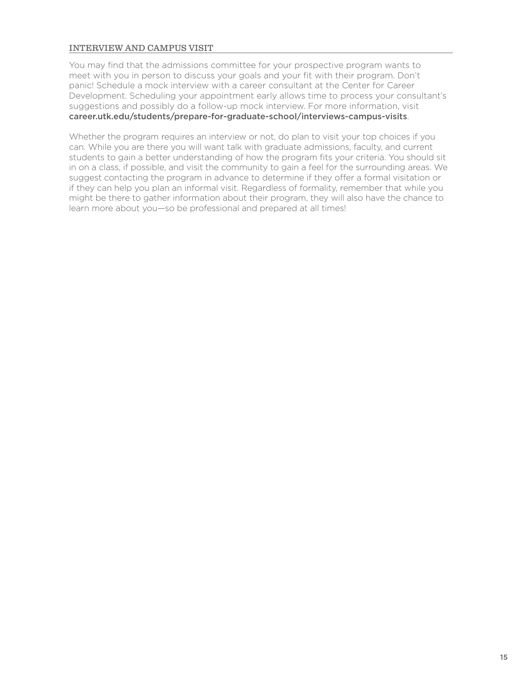#### INTERVIEW AND CAMPUS VISIT

You may find that the admissions committee for your prospective program wants to meet with you in person to discuss your goals and your fit with their program. Don't panic! Schedule a mock interview with a career consultant at the Center for Career Development. Scheduling your appointment early allows time to process your consultant's suggestions and possibly do a follow-up mock interview. For more information, visit [career.utk.edu/students/prepare-for-graduate-school/interviews-campus-visits](https://career.utk.edu/students/prepare-for-graduate-school/interviews-campus-visits).

Whether the program requires an interview or not, do plan to visit your top choices if you can. While you are there you will want talk with graduate admissions, faculty, and current students to gain a better understanding of how the program fits your criteria. You should sit in on a class, if possible, and visit the community to gain a feel for the surrounding areas. We suggest contacting the program in advance to determine if they offer a formal visitation or if they can help you plan an informal visit. Regardless of formality, remember that while you might be there to gather information about their program, they will also have the chance to learn more about you—so be professional and prepared at all times!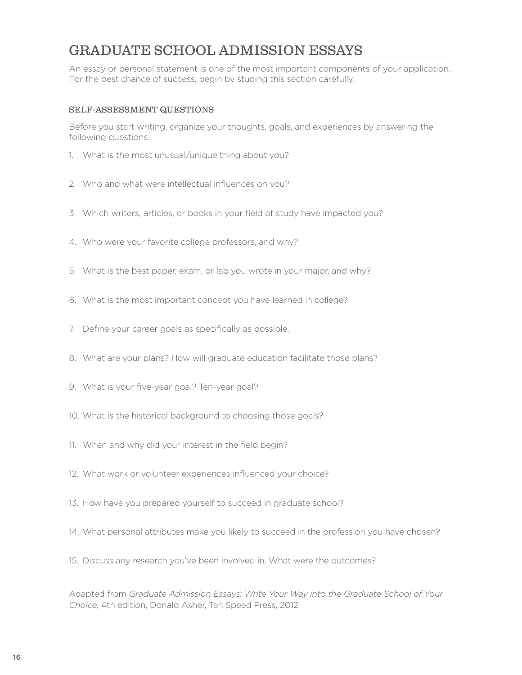## GRADUATE SCHOOL ADMISSION ESSAYS

An essay or personal statement is one of the most important components of your application. For the best chance of success, begin by studing this section carefully.

#### SELF-ASSESSMENT QUESTIONS

Before you start writing, organize your thoughts, goals, and experiences by answering the following questions:

- 1. What is the most unusual/unique thing about you?
- 2. Who and what were intellectual infuences on you?
- 3. Which writers, articles, or books in your feld of study have impacted you?
- 4. Who were your favorite college professors, and why?
- 5. What is the best paper, exam, or lab you wrote in your major, and why?
- 6. What is the most important concept you have learned in college?
- 7. Define your career goals as specifically as possible.
- 8. What are your plans? How will graduate education facilitate those plans?
- 9. What is your five-year goal? Ten-year goal?
- 10. What is the historical background to choosing those goals?
- 11. When and why did your interest in the field begin?
- 12. What work or volunteer experiences infuenced your choice?
- 13. How have you prepared yourself to succeed in graduate school?
- 14. What personal attributes make you likely to succeed in the profession you have chosen?
- 15. Discuss any research you've been involved in. What were the outcomes?

Adapted from *Graduate Admission Essays: Write Your Way into the Graduate School of Your Choice,* 4th edition, Donald Asher, Ten Speed Press, 2012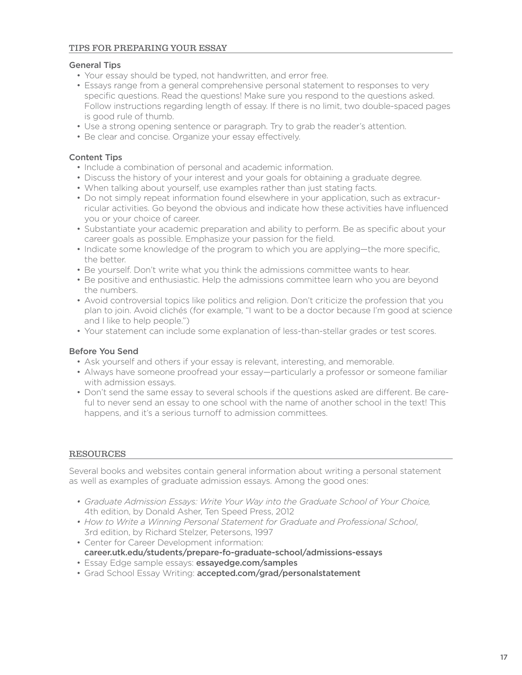#### General Tips

- Your essay should be typed, not handwritten, and error free.
- Essays range from a general comprehensive personal statement to responses to very specific questions. Read the questions! Make sure you respond to the questions asked. Follow instructions regarding length of essay. If there is no limit, two double-spaced pages is good rule of thumb.
- Use a strong opening sentence or paragraph. Try to grab the reader's attention.
- Be clear and concise. Organize your essay effectively.

#### Content Tips

- Include a combination of personal and academic information.
- Discuss the history of your interest and your goals for obtaining a graduate degree.
- When talking about yourself, use examples rather than just stating facts.
- Do not simply repeat information found elsewhere in your application, such as extracurricular activities. Go beyond the obvious and indicate how these activities have infuenced you or your choice of career.
- Substantiate your academic preparation and ability to perform. Be as specific about your career goals as possible. Emphasize your passion for the feld.
- Indicate some knowledge of the program to which you are applying—the more specifc, the better.
- Be yourself. Don't write what you think the admissions committee wants to hear.
- Be positive and enthusiastic. Help the admissions committee learn who you are beyond the numbers.
- Avoid controversial topics like politics and religion. Don't criticize the profession that you plan to join. Avoid clichés (for example, "I want to be a doctor because I'm good at science and I like to help people.")
- Your statement can include some explanation of less-than-stellar grades or test scores.

#### Before You Send

- Ask yourself and others if your essay is relevant, interesting, and memorable.
- Always have someone proofread your essay—particularly a professor or someone familiar with admission essays.
- Don't send the same essay to several schools if the questions asked are diferent. Be careful to never send an essay to one school with the name of another school in the text! This happens, and it's a serious turnoff to admission committees.

#### RESOURCES

Several books and websites contain general information about writing a personal statement as well as examples of graduate admission essays. Among the good ones:

- *Graduate Admission Essays: Write Your Way into the Graduate School of Your Choice,*  4th edition, by Donald Asher, Ten Speed Press, 2012
- *How to Write a Winning Personal Statement for Graduate and Professional School*, 3rd edition, by Richard Stelzer, Petersons, 1997
- Center for Career Development information:
- [career.utk.edu/students/prepare-fo-graduate-school/admissions-essays](https://career.utk.edu/students/prepare-fo-graduate-school/admissions-essays)
- Essay Edge sample essays: [essayedge.com/samples](https://essayedge.com/samples)
- Grad School Essay Writing: [accepted.com/grad/personalstatement](https://accepted.com/grad/personalstatement)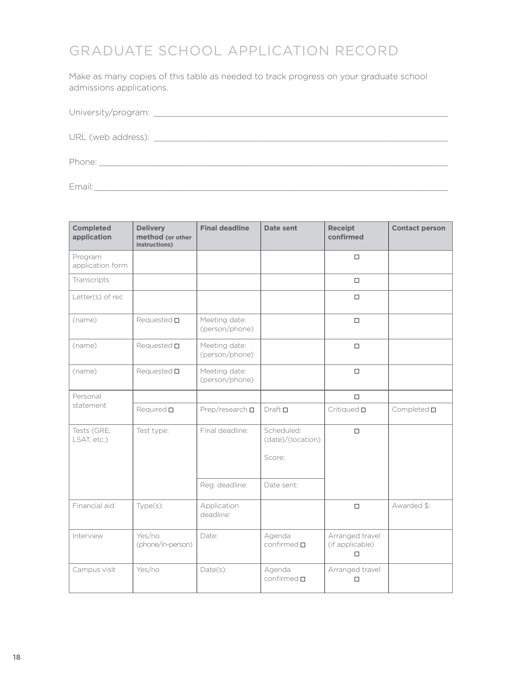# GRADUATE SCHOOL APPLICATION RECORD

Make as many copies of this table as needed to track progress on your graduate school admissions applications.

#### University/program: \_\_\_\_\_\_\_\_\_\_\_\_\_\_\_\_\_\_\_\_\_\_\_\_\_\_\_\_\_\_\_\_\_\_\_\_\_\_\_\_\_\_\_\_\_\_\_\_\_\_\_\_\_\_\_\_\_\_\_

URL (web address): \_\_\_\_\_\_\_\_\_\_\_\_\_\_\_\_\_\_\_\_\_\_\_\_\_\_\_\_\_\_\_\_\_\_\_\_\_\_\_\_\_\_\_\_\_\_\_\_\_\_\_\_\_\_\_\_\_\_\_

Phone: \_\_\_\_\_\_\_\_\_\_\_\_\_\_\_\_\_\_\_\_\_\_\_\_\_\_\_\_\_\_\_\_\_\_\_\_\_\_\_\_\_\_\_\_\_\_\_\_\_\_\_\_\_\_\_\_\_\_\_\_\_\_\_\_\_\_\_\_\_\_

Email:\_\_\_\_\_\_\_\_\_\_\_\_\_\_\_\_\_\_\_\_\_\_\_\_\_\_\_\_\_\_\_\_\_\_\_\_\_\_\_\_\_\_\_\_\_\_\_\_\_\_\_\_\_\_\_\_\_\_\_\_\_\_\_\_\_\_\_\_\_\_\_

| <b>Completed</b><br>application | <b>Delivery</b><br>method (or other<br>instructions) | <b>Final deadline</b>           | Date sent                            | <b>Receipt</b><br>confirmed             | <b>Contact person</b> |
|---------------------------------|------------------------------------------------------|---------------------------------|--------------------------------------|-----------------------------------------|-----------------------|
| Program<br>application form     |                                                      |                                 |                                      | $\Box$                                  |                       |
| Transcripts                     |                                                      |                                 |                                      | $\Box$                                  |                       |
| Letter(s) of rec                |                                                      |                                 |                                      | $\Box$                                  |                       |
| (name)                          | Requested <b>D</b>                                   | Meeting date:<br>(person/phone) |                                      | $\Box$                                  |                       |
| (name)                          | Requested <b>D</b>                                   | Meeting date:<br>(person/phone) |                                      | $\Box$                                  |                       |
| (name)                          | Requested <b>D</b>                                   | Meeting date:<br>(person/phone) |                                      | $\Box$                                  |                       |
| Personal                        |                                                      |                                 |                                      | $\Box$                                  |                       |
| statement                       | Required $\square$                                   | Prep/research $\square$         | $Draft$ $\Box$                       | Critiqued $\square$                     | Completed $\square$   |
| Tests (GRE,<br>LSAT, etc.)      | Test type:                                           | Final deadline:                 | Scheduled:<br>(date)/(location)      | $\Box$                                  |                       |
|                                 |                                                      |                                 | Score:                               |                                         |                       |
|                                 |                                                      | Reg. deadline:                  | Date sent:                           |                                         |                       |
| Financial aid                   | Type(s):                                             | Application<br>deadline:        |                                      | $\Box$                                  | Awarded \$:           |
| Interview                       | Yes/no<br>(phone/in-person)                          | Date:                           | Agenda<br>$\text{confirmed} \square$ | Arranged travel<br>(if applicable)<br>□ |                       |
| Campus visit                    | Yes/no                                               | $Date(s)$ :                     | Agenda<br>$\text{confirmed}\ \Box$   | Arranged travel<br>$\Box$               |                       |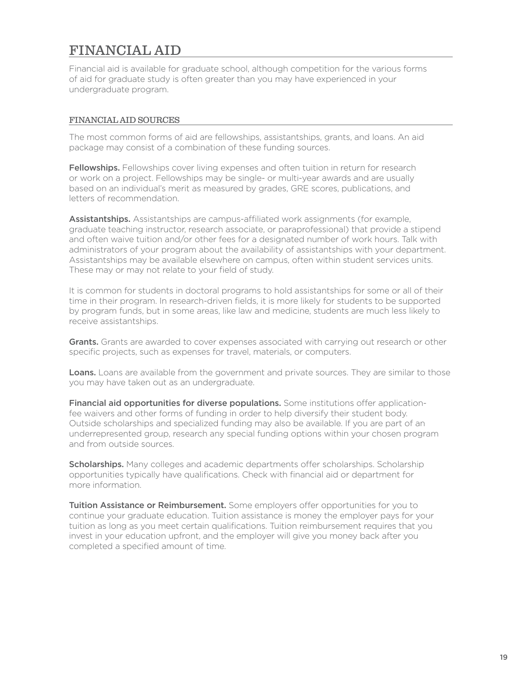# FINANCIAL AID

Financial aid is available for graduate school, although competition for the various forms of aid for graduate study is often greater than you may have experienced in your undergraduate program.

#### FINANCIAL AID SOURCES

The most common forms of aid are fellowships, assistantships, grants, and loans. An aid package may consist of a combination of these funding sources.

Fellowships. Fellowships cover living expenses and often tuition in return for research or work on a project. Fellowships may be single- or multi-year awards and are usually based on an individual's merit as measured by grades, GRE scores, publications, and letters of recommendation.

Assistantships. Assistantships are campus-affiliated work assignments (for example, graduate teaching instructor, research associate, or paraprofessional) that provide a stipend and often waive tuition and/or other fees for a designated number of work hours. Talk with administrators of your program about the availability of assistantships with your department. Assistantships may be available elsewhere on campus, often within student services units. These may or may not relate to your field of study.

It is common for students in doctoral programs to hold assistantships for some or all of their time in their program. In research-driven felds, it is more likely for students to be supported by program funds, but in some areas, like law and medicine, students are much less likely to receive assistantships.

Grants. Grants are awarded to cover expenses associated with carrying out research or other specific projects, such as expenses for travel, materials, or computers.

Loans. Loans are available from the government and private sources. They are similar to those you may have taken out as an undergraduate.

Financial aid opportunities for diverse populations. Some institutions offer applicationfee waivers and other forms of funding in order to help diversify their student body. Outside scholarships and specialized funding may also be available. If you are part of an underrepresented group, research any special funding options within your chosen program and from outside sources.

Scholarships. Many colleges and academic departments offer scholarships. Scholarship opportunities typically have qualifcations. Check with fnancial aid or department for more information.

Tuition Assistance or Reimbursement. Some employers offer opportunities for you to continue your graduate education. Tuition assistance is money the employer pays for your tuition as long as you meet certain qualifications. Tuition reimbursement requires that you invest in your education upfront, and the employer will give you money back after you completed a specifed amount of time.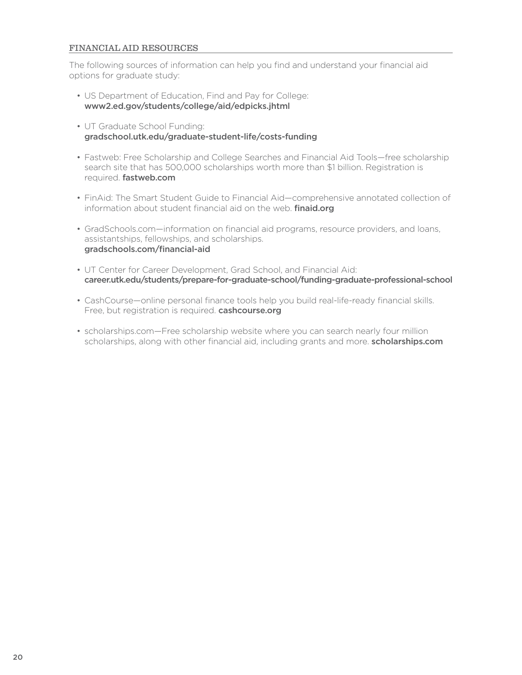#### FINANCIAL AID RESOURCES

The following sources of information can help you find and understand your financial aid options for graduate study:

- US Department of Education, Find and Pay for College: [www2.ed.gov/students/college/aid/edpicks.jhtml](https://www2.ed.gov/students/college/aid/edpicks.jhtml)
- UT Graduate School Funding: [gradschool.utk.edu/graduate-student-life/costs-funding](https://gradschool.utk.edu/graduate-student-life/costs-funding)
- Fastweb: Free Scholarship and College Searches and Financial Aid Tools—free scholarship search site that has 500,000 scholarships worth more than \$1 billion. Registration is required. [fastweb.com](https://fastweb.com)
- FinAid: The Smart Student Guide to Financial Aid—comprehensive annotated collection of information about student financial aid on the web. **finaid.org**
- GradSchools.com—information on fnancial aid programs, resource providers, and loans, assistantships, fellowships, and scholarships. [gradschools.com/fnancial-aid](https://gradschools.com/financial-aid)
- UT Center for Career Development, Grad School, and Financial Aid: [career.utk.edu/students/prepare-for-graduate-school/funding-graduate-professional-school](https://career.utk.edu/students/prepare-for-graduate-school/funding-graduate-professional-school)
- CashCourse—online personal fnance tools help you build real-life-ready fnancial skills. Free, but registration is required. [cashcourse.org](https://cashcourse.org)
- scholarships.com—Free scholarship website where you can search nearly four million scholarships, along with other financial aid, including grants and more. scholarships.com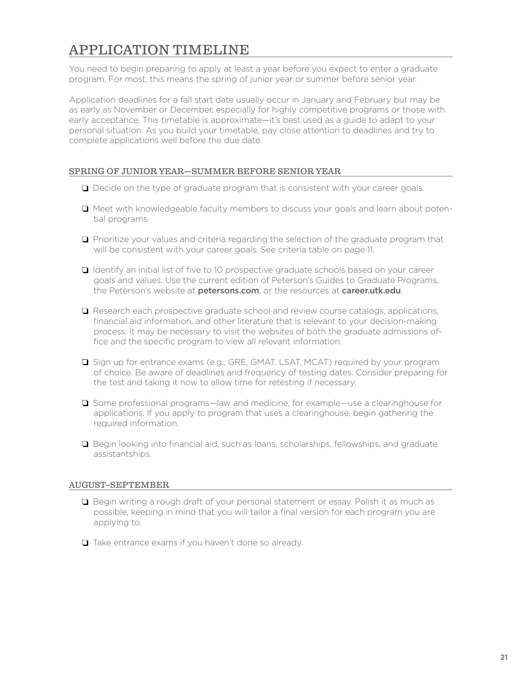# APPLICATION TIMELINE

You need to begin preparing to apply at least a year before you expect to enter a graduate program. For most, this means the spring of junior year or summer before senior year.

Application deadlines for a fall start date usually occur in January and February but may be as early as November or December, especially for highly competitive programs or those with early acceptance. This timetable is approximate—it's best used as a guide to adapt to your personal situation. As you build your timetable, pay close attention to deadlines and try to complete applications well before the due date.

#### SPRING OF JUNIOR YEAR—SUMMER BEFORE SENIOR YEAR

- $\Box$  Decide on the type of graduate program that is consistent with your career goals.
- $\Box$  Meet with knowledgeable faculty members to discuss your goals and learn about potential programs.
- $\Box$  Prioritize your values and criteria regarding the selection of the graduate program that will be consistent with your career goals. See criteria table on page 11.
- $\Box$  Identify an initial list of five to 10 prospective graduate schools based on your career goals and values. Use the current edition of Peterson's Guides to Graduate Programs, the Peterson's website at [petersons.com](https://petersons.com), or the resources at [career.utk.edu](https://career.utk.edu).
- $\Box$  Research each prospective graduate school and review course catalogs, applications, fnancial aid information, and other literature that is relevant to your decision-making process. It may be necessary to visit the websites of both the graduate admissions office and the specific program to view all relevant information.
- $\square$  Sign up for entrance exams (e.g., GRE, GMAT, LSAT, MCAT) required by your program of choice. Be aware of deadlines and frequency of testing dates. Consider preparing for the test and taking it now to allow time for retesting if necessary.
- $\square$  Some professional programs—law and medicine, for example—use a clearinghouse for applications. If you apply to program that uses a clearinghouse, begin gathering the required information.
- $\Box$  Begin looking into financial aid, such as loans, scholarships, fellowships, and graduate assistantships.

#### AUGUST–SEPTEMBER

- $\Box$  Begin writing a rough draft of your personal statement or essay. Polish it as much as possible, keeping in mind that you will tailor a fnal version for each program you are applying to.
- $\Box$  Take entrance exams if you haven't done so already.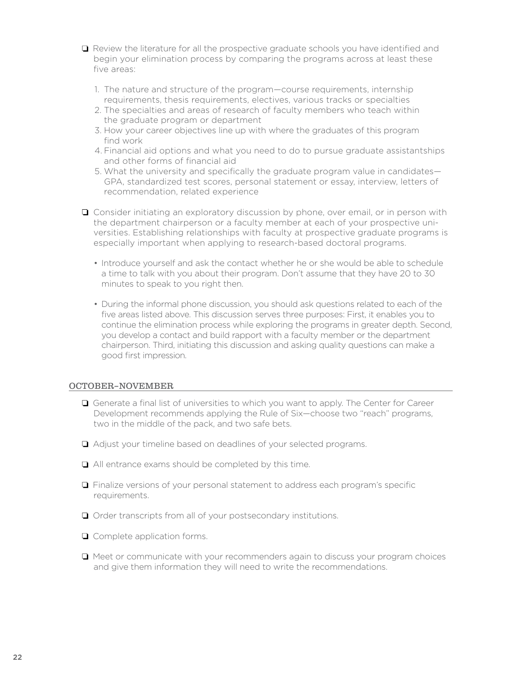- $\Box$  Review the literature for all the prospective graduate schools you have identified and begin your elimination process by comparing the programs across at least these five areas:
	- 1. The nature and structure of the program—course requirements, internship requirements, thesis requirements, electives, various tracks or specialties
	- 2. The specialties and areas of research of faculty members who teach within the graduate program or department
	- 3. How your career objectives line up with where the graduates of this program find work
	- 4. Financial aid options and what you need to do to pursue graduate assistantships and other forms of financial aid
	- 5. What the university and specifcally the graduate program value in candidates— GPA, standardized test scores, personal statement or essay, interview, letters of recommendation, related experience
- □ Consider initiating an exploratory discussion by phone, over email, or in person with the department chairperson or a faculty member at each of your prospective universities. Establishing relationships with faculty at prospective graduate programs is especially important when applying to research-based doctoral programs.
	- Introduce yourself and ask the contact whether he or she would be able to schedule a time to talk with you about their program. Don't assume that they have 20 to 30 minutes to speak to you right then.
	- During the informal phone discussion, you should ask questions related to each of the five areas listed above. This discussion serves three purposes: First, it enables you to continue the elimination process while exploring the programs in greater depth. Second, you develop a contact and build rapport with a faculty member or the department chairperson. Third, initiating this discussion and asking quality questions can make a good first impression.

#### OCTOBER–NOVEMBER

- $\Box$  Generate a final list of universities to which you want to apply. The Center for Career Development recommends applying the Rule of Six—choose two "reach" programs, two in the middle of the pack, and two safe bets.
- Adjust your timeline based on deadlines of your selected programs.
- All entrance exams should be completed by this time.
- Finalize versions of your personal statement to address each program's specifc requirements.
- Order transcripts from all of your postsecondary institutions.
- Complete application forms.
- $\Box$  Meet or communicate with your recommenders again to discuss your program choices and give them information they will need to write the recommendations.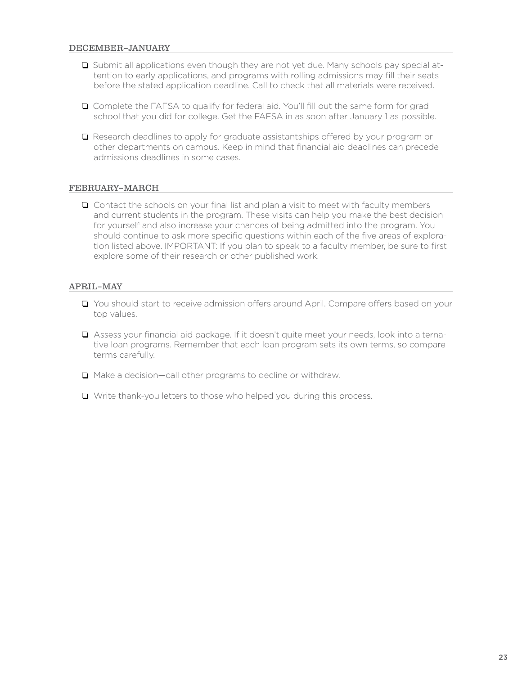- $\square$  Submit all applications even though they are not yet due. Many schools pay special attention to early applications, and programs with rolling admissions may fll their seats before the stated application deadline. Call to check that all materials were received.
- Complete the FAFSA to qualify for federal aid. You'll fll out the same form for grad school that you did for college. Get the FAFSA in as soon after January 1 as possible.
- $\Box$  Research deadlines to apply for graduate assistantships offered by your program or other departments on campus. Keep in mind that fnancial aid deadlines can precede admissions deadlines in some cases.

#### FEBRUARY–MARCH

 $\Box$  Contact the schools on your final list and plan a visit to meet with faculty members and current students in the program. These visits can help you make the best decision for yourself and also increase your chances of being admitted into the program. You should continue to ask more specific questions within each of the five areas of exploration listed above. IMPORTANT: If you plan to speak to a faculty member, be sure to frst explore some of their research or other published work.

#### APRIL–MAY

- □ You should start to receive admission offers around April. Compare offers based on your top values.
- Assess your fnancial aid package. If it doesn't quite meet your needs, look into alternative loan programs. Remember that each loan program sets its own terms, so compare terms carefully.
- $\Box$  Make a decision—call other programs to decline or withdraw.
- □ Write thank-you letters to those who helped you during this process.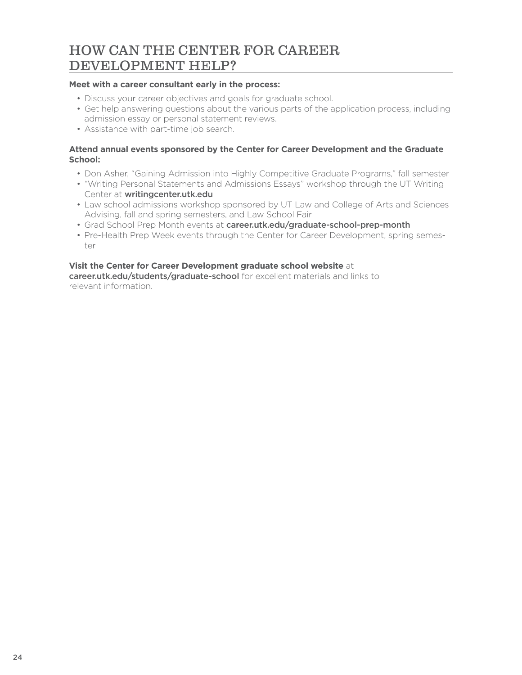### HOW CAN THE CENTER FOR CAREER DEVELOPMENT HELP?

#### **Meet with a career consultant early in the process:**

- Discuss your career objectives and goals for graduate school.
- Get help answering questions about the various parts of the application process, including admission essay or personal statement reviews.
- Assistance with part-time job search.

#### **Attend annual events sponsored by the Center for Career Development and the Graduate School:**

- Don Asher, "Gaining Admission into Highly Competitive Graduate Programs," fall semester
- "Writing Personal Statements and Admissions Essays" workshop through the UT Writing Center at [writingcenter.utk.edu](https://writingcenter.utk.edu)
- Law school admissions workshop sponsored by UT Law and College of Arts and Sciences Advising, fall and spring semesters, and Law School Fair
- Grad School Prep Month events at [career.utk.edu/graduate-school-prep-month](https://career.utk.edu/graduate-school-prep-month)
- Pre-Health Prep Week events through the Center for Career Development, spring semester

#### **Visit the Center for Career Development graduate school website** at

[career.utk.edu/students/graduate-school](https://career.utk.edu/students/graduate-school) for excellent materials and links to relevant information.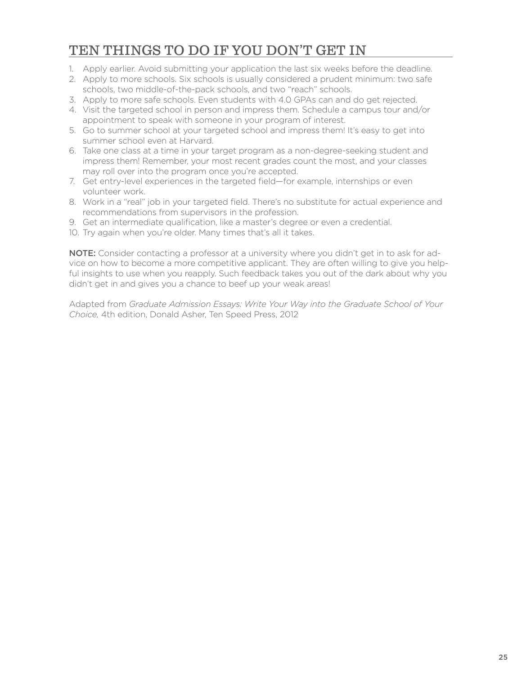# TEN THINGS TO DO IF YOU DON'T GET IN

- 1. Apply earlier. Avoid submitting your application the last six weeks before the deadline.
- 2. Apply to more schools. Six schools is usually considered a prudent minimum: two safe schools, two middle-of-the-pack schools, and two "reach" schools.
- 3. Apply to more safe schools. Even students with 4.0 GPAs can and do get rejected.
- 4. Visit the targeted school in person and impress them. Schedule a campus tour and/or appointment to speak with someone in your program of interest.
- 5. Go to summer school at your targeted school and impress them! It's easy to get into summer school even at Harvard.
- 6. Take one class at a time in your target program as a non-degree-seeking student and impress them! Remember, your most recent grades count the most, and your classes may roll over into the program once you're accepted.
- 7. Get entry-level experiences in the targeted field—for example, internships or even volunteer work.
- 8. Work in a "real" job in your targeted feld. There's no substitute for actual experience and recommendations from supervisors in the profession.
- 9. Get an intermediate qualifcation, like a master's degree or even a credential.
- 10. Try again when you're older. Many times that's all it takes.

NOTE: Consider contacting a professor at a university where you didn't get in to ask for advice on how to become a more competitive applicant. They are often willing to give you helpful insights to use when you reapply. Such feedback takes you out of the dark about why you didn't get in and gives you a chance to beef up your weak areas!

Adapted from *Graduate Admission Essays: Write Your Way into the Graduate School of Your Choice,* 4th edition, Donald Asher, Ten Speed Press, 2012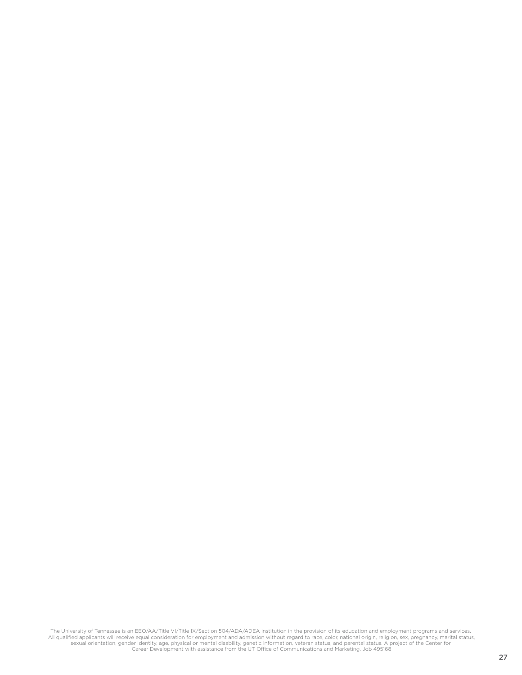The University of Tennessee is an EEO/AA/Title VI/Title IX/Section 504/ADA/ADEA institution in the provision of its education and employment programs and services.<br>All qualified applicants will receive equal consideration